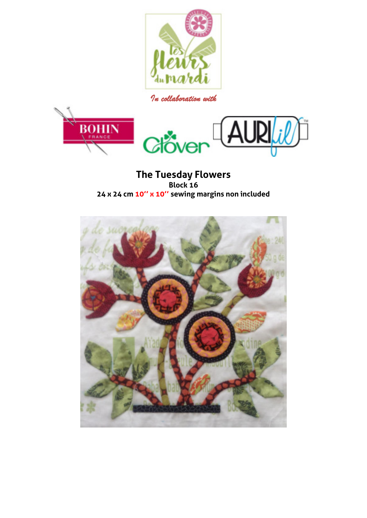

*In collaboration with* 



**The Tuesday Flowers Block 16 24 x 24 cm 10'' x 10'' sewing margins non included** 

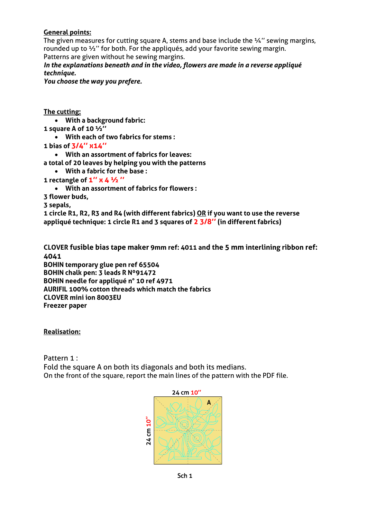## **General points:**

The given measures for cutting square A, stems and base include the  $\frac{1}{4}$ " sewing margins, rounded up to ½'' for both. For the appliqués, add your favorite sewing margin. Patterns are given without he sewing margins.

*In the explanations beneath and in the video, flowers are made in a reverse appliqué technique.* 

*You choose the way you prefere.* 

**The cutting:** 

- **With a background fabric:**
- **1 square A of 10 ½''**
	- **With each of two fabrics for stems :**
- **1 bias of 3/4'' x14''**
	- **With an assortment of fabrics for leaves:**
- **a total of 20 leaves by helping you with the patterns**
- **With a fabric for the base :**
- **1 rectangle of 1'' x 4 ½ ''**
	- **With an assortment of fabrics for flowers :**

**3 flower buds,** 

**3 sepals,** 

**1 circle R1, R2, R3 and R4 (with different fabrics) OR if you want to use the reverse appliqué technique: 1 circle R1 and 3 squares of 2 3/8'' (in different fabrics)** 

**CLOVER fusible bias tape maker 9mm ref: 4011 and the 5 mm interlining ribbon ref: 4041 BOHIN temporary glue pen ref 65504** 

**BOHIN chalk pen: 3 leads R Nº91472 BOHIN needle for appliqué n° 10 ref 4971 AURIFIL 100% cotton threads which match the fabrics CLOVER mini ion 8003EU** 

**Freezer paper** 

**Realisation:** 

Pattern 1 :

Fold the square A on both its diagonals and both its medians. On the front of the square, report the main lines of the pattern with the PDF file.

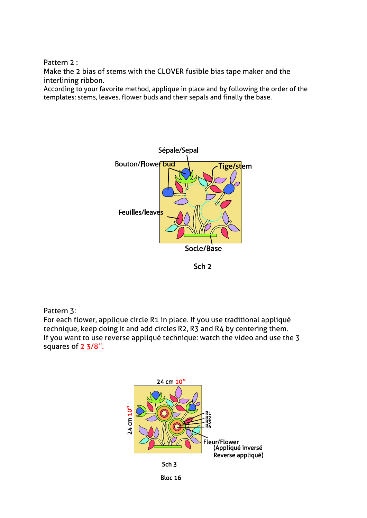Pattern 2 :

Make the 2 bias of stems with the CLOVER fusible bias tape maker and the interlining ribbon.

According to your favorite method, applique in place and by following the order of the templates: stems, leaves, flower buds and their sepals and finally the base.



Sch<sub>2</sub>

## Pattern 3:

For each flower, applique circle R1 in place. If you use traditional appliqué technique, keep doing it and add circles R2, R3 and R4 by centering them. If you want to use reverse appliqué technique: watch the video and use the 3 squares of 2 3/8''.

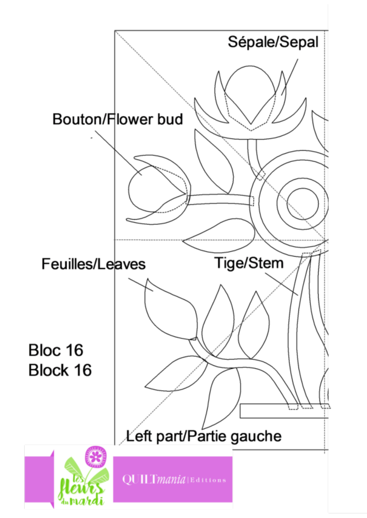